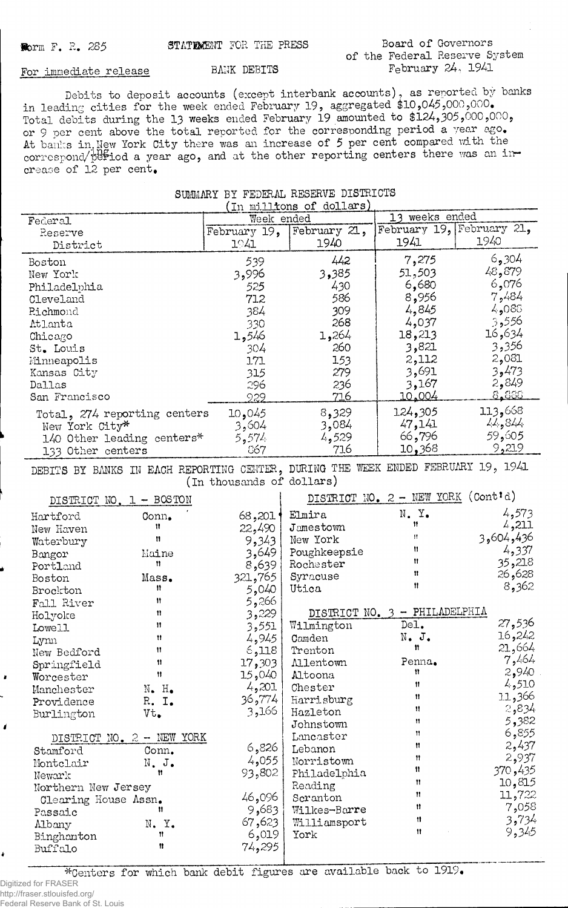## **Board of Governors of the Federal Reserve System February 24, 1941**

## For immediate release BANK DEBITS

**Debits to deposit accounts (except interbank accounts), as reported^by banks in leading cities for the week ended February 19, aggregated \$10,045,000,000. Total debits during the 13 weeks ended February 19 amounted to \$124,305,000,000, or 9 per cent above the total reported for the corresponding period a year ago. At banks in. Hew York City there was an increase of 5 per cent compared with the** correspond/period a year ago, and at the other reporting centers there was an in**crease of 12 per cent,**

| SUMMARY BY FEDERAL RESERVE DISTRICTS |  |                                          |  |  |  |
|--------------------------------------|--|------------------------------------------|--|--|--|
|                                      |  | $(\text{in} \text{min1}$ mas of dollars) |  |  |  |

| (In millions of dollars)     |              |              |                           |               |  |
|------------------------------|--------------|--------------|---------------------------|---------------|--|
| Federal                      | Week ended   |              | 13 weeks ended            |               |  |
| Reserve                      | February 19, | February 21, | February 19, February 21, |               |  |
| District                     | 1941         | 1940         | 1941                      | 1940          |  |
| Boston                       | 539          | 442          | 7,275                     | 6,304         |  |
| New York                     | 3,996        | 3,385        | 51,503                    | 48,879        |  |
| Philadelphia                 | 525          | 430          | 6,680                     | 6,076         |  |
| Cleveland                    | 712          | 586          | 8,956                     | 7,484         |  |
| Richmond                     | 384          | 309          | 4,845                     | 4,088         |  |
| Atlanta                      | 330          | 268          | 4,037                     | 3,556         |  |
| Chicago                      | 1,546        | 1,264        | 18,213                    | 16,634        |  |
| St. Louis                    | 304          | 260          | 3,821                     | 3,356         |  |
| Minneapolis                  | 171          | 153          | 2,112                     | 2,081         |  |
| Kansas City                  | 315          | 279          | 3,691                     | 3,473         |  |
| Dallas                       | 296          | 236          | 3,167                     | 2,849         |  |
| San Francisco                | 929          | <u>716</u>   | 10.004                    | <u>8.888 </u> |  |
| Total, 274 reporting centers | 10,045       | 8,329        | 124,305                   | 113,668       |  |
| New York City*               | 3,604        | 3,084        | 47,141                    | 11, 814       |  |
| 140 Other leading centers*   | 5,574        | 4,529        | 66,796                    | 59,605        |  |
| 133 Other centers            | 867          | 716          | 10,368                    | 9,219         |  |

**DEBITS BY BANKS IN EACH REPORTING CENTER, DURING THE WEEK ENDED FEBRUARY 19, 1941 (in thousands of dollars)**

| DISTRICT NO. $1 - BOSTON$ |                             |         | DISTRICT NO. 2 - NEW YORK (Cont'd) |                                 |           |  |
|---------------------------|-----------------------------|---------|------------------------------------|---------------------------------|-----------|--|
| Hartford                  | Conn.                       | 68,201  | Elmira                             | N. Y.                           | 4,573     |  |
| New Haven                 | Ħ                           | 22,490  | Jamestown                          | $^{\dagger}$                    | 4,211     |  |
| Waterbury                 | n                           | 9,343   | New York                           | Ħ                               | 3,604,436 |  |
| Bangor                    | Maine                       | 3,649   | Poughkeepsie                       | 11                              | 4,337     |  |
| Portland                  | n                           | 8,639   | Rochester                          | Ħ                               | 35,218    |  |
| Boston                    | Mass.                       | 321,765 | Syracuse                           | Ħ                               | 26,628    |  |
| Brockton                  | 11                          | 5,040   | Utica                              | Ħ                               | 8,362     |  |
| Fall River                | Ħ                           | 5,266   |                                    |                                 |           |  |
| Holyoke                   | Ħ                           | 3,229   |                                    | DISTRICT NO. $3$ - PHILADELPHIA |           |  |
| Lowell                    | Ħ                           | 3,551   | Wilmington                         | DeI.                            | 27,536    |  |
| Lynn                      | Ħ                           | 4,945   | Camden                             | $N_{\bullet}$ J.                | 16,242    |  |
| New Bedford               | 11                          | 6,118   | Trenton                            | Ħ                               | 21,664    |  |
| Springfield               | 11                          | 17,303  | <b>Allentown</b>                   | Penna.                          | 7,464     |  |
| Worcester                 | Ħ                           | 15,040  | Altoona                            | Ħ                               | 2,940     |  |
| Manchester                | $N_{\bullet}$ $H_{\bullet}$ | 4,201   | Chester                            | Ħ                               | 4,510     |  |
| Providence                | R. I.                       | 36,774  | Harrisburg                         | Ħ                               | 11,366    |  |
| Burlington                | Vt.                         | 3,166   | Hazleton                           | Ħ                               | 2,834     |  |
|                           |                             |         | Johnstown                          | Ħ                               | 5,382     |  |
|                           | DISTRICT NO. 2 - NEW YORK   |         | Lancaster                          | n                               | 6,855     |  |
| Stamford                  | Conn.                       | 6,826   | Lebanon                            | Ħ                               | 2,437     |  |
| Montclair                 | N. J.                       | 4,055   | Norristown                         | Ħ                               | 2,937     |  |
| Newark                    | Ħ                           | 93,802  | Philadelphia                       | 11.                             | 370,435   |  |
| Northern New Jersey       |                             |         | Reading                            | Ħ                               | 10,815    |  |
| Clearing House Assn.      |                             | 46,096  | Scranton                           | Ħ                               | 11,722    |  |
| Passaic                   | Ħ                           | 9,683   | Wilkes-Barre                       | Ħ                               | 7,058     |  |
| Albany                    | N.Y.                        | 67,623  | Williamsport                       | 11                              | 3,734     |  |
| Binghamton                | Ħ                           | 6,019   | York                               | $\mathbf{H}$                    | 9,345     |  |
| Buffalo                   | 11                          | 74,295  |                                    |                                 |           |  |
|                           |                             |         |                                    |                                 |           |  |

**\*Centers for which bank debit figures are available back to 1919#**

Digitized for FRASER http://fraser.stlouisfed.org/

4

Federal Reserve Bank of St. Louis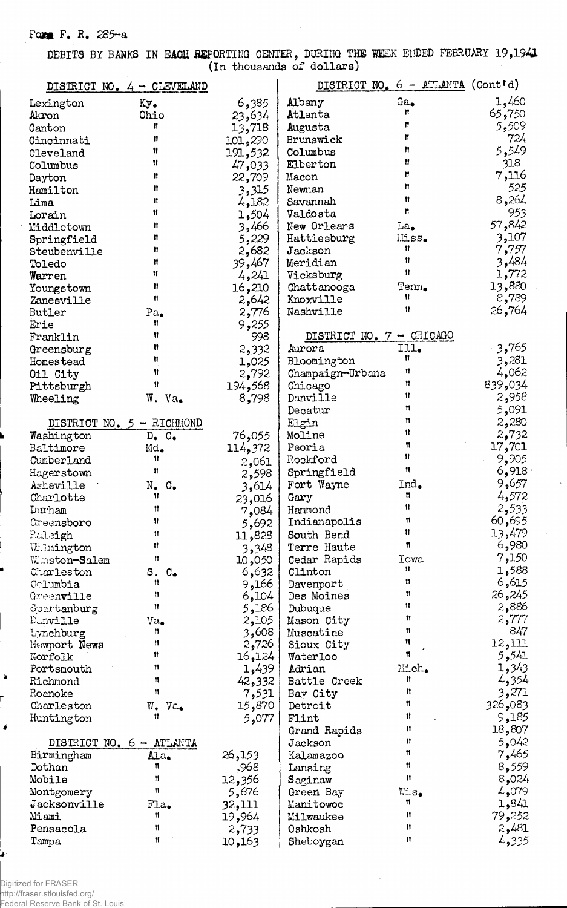## Form F. R. 285-a

DEBITS BY BANKS IN EACH REPORTING CENTER, DURING THE WEEK ENDED FEBRUARY 19,1941

|                         | DISTRICT NO. 4 - CLEVELAND         |                | DISTRICT NO. 6 - ATLANTA (Cont'd) |             |                 |
|-------------------------|------------------------------------|----------------|-----------------------------------|-------------|-----------------|
| Lexington               | Ky.                                | 6,385          | Albany                            | Ga.         | 1,460           |
| Akron                   | Ohio                               | 23,634         | Atlanta                           | Ħ           | 65,750          |
| Canton                  | Ħ                                  | 13,718         | Augusta                           | 11          | 5,509           |
| Cincinnati              | 11                                 | 101,290        | Brunswick                         | Ħ           | 724             |
| Cleveland               | 11                                 | 191,532        | Columbus                          | Ħ           | 5,549           |
| Columbus                | Ħ                                  | 47,033         | Elberton                          | Ħ           | 318             |
| Dayton                  | Ħ                                  | 22,709         | Macon                             | Ħ           | 7,116           |
| Hamilton                | Ħ                                  | 3,315          | Newnan                            | 11          | 525             |
| Lima                    | 11                                 | 4,182          | Savannah                          | Ħ           | 8,264           |
| Lorain                  | 11                                 | 1,504          | Valdosta                          | Ħ           | 953             |
| Middletown              | Ħ                                  | 3,466          | New Orleans                       | La.         | 57,842          |
| Springfield             | Ħ                                  | 5,229          | Hattiesburg                       | Miss.       | 3,107           |
| Steubenville            | 11                                 | 2,682          | Jackson                           | Ħ           | 7,757           |
| Toledo                  | Ħ                                  | 39,467         | Meridian                          | 11          | 3,484           |
| Warren                  | Ħ                                  | 4,241          | Vicksburg                         | Ħ           | 1,772           |
| Youngstown              | 11                                 | 16,210         | Chattanooga                       | Tenn.<br>11 | 13,880          |
| Zanesville              | Ħ                                  | 2,642          | Knoxville                         | Ħ           | 8,789           |
| <b>Butler</b>           | $Pa_{\bullet}$                     | 2,776          | Nashville                         |             | 26,764          |
| Erie                    | n                                  | 9,255          |                                   |             |                 |
| Franklin                | Ħ<br>Ħ                             | 998            | DISTRICT NO. 7 - CHICAGO          |             |                 |
| Greensburg              | Ħ                                  | 2,332          | Aurora                            | III.<br>Ħ   | 3,765           |
| Homestead               | Ħ                                  | 1,025          | Bloomington                       | 11          | 3,281<br>4,062  |
| Oil City                | Ħ                                  | 2,792          | Champaign-Urbana                  | 11          | 839,034         |
| Pittsburgh              |                                    | 194,568        | Chicago                           | Ħ           | 2,958           |
| Wheeling                | W. Va.                             | 8,798          | Danville                          | Ħ           | 5,091           |
|                         |                                    |                | Decatur                           | Ħ           | 2,280           |
|                         | DISTRICT NO. 5 - RICHMOND          |                | Elgin<br>Moline                   | Ħ           | 2,732           |
| Washington<br>Baltimore | $D_{\bullet}$ $C_{\bullet}$<br>Md. | 76,055         | Peoria                            | Ħ           | 17,701          |
| Cumberland              | Ħ                                  | 114,372        | Rockford                          | Ħ           | 9,905           |
| Hagerstown              | Ħ                                  | 2,061          | Springfield                       | Ħ           | 6,918           |
| Asheville               | $N_{\bullet}$<br>$\circ$ .         | 2,598<br>3,614 | Fort Wayne                        | Ind.        | 9,657           |
| Charlotte               | 11                                 | 23,016         | Gary                              | Ħ           | 4,572           |
| Durham                  | 11                                 | 7,084          | Hammond                           | 11          | 2,533           |
| Creensboro              | 11                                 | 5,692          | Indianapolis                      | Ħ           | 60,695          |
| Raleigh                 | 11                                 | 11,828         | South Bend                        | п           | 13,479          |
| Willmington             | Ħ                                  | 3,348          | Terre Haute                       | n           | 6,980           |
| Winston-Salem           | Ħ                                  | 10,050         | Cedar Rapids                      | Iowa        | 7,150           |
| Charleston              | S. C <sub>•</sub>                  | 6,632          | Clinton                           | Ħ           | 1,588           |
| Columbia                | Ħ                                  | 9,166          | Davenport                         | Ħ           | 6,615           |
| Greenville              | Ħ                                  | 6,104          | Des Moines                        | 11          | 26,245          |
| Spartanburg             | Ħ                                  | 5,186          | Dubuque                           | 11          | 2,886           |
| Danville                | Va.                                | 2,105          | Mason City                        | 11          | 2,777           |
| Lynchburg               | Ħ                                  | 3,608          | Muscatine                         | Ħ           | 847             |
| Newport News            | Ħ                                  | 2,726          | Sioux City                        | Ħ           | 12,111          |
| Norfolk                 | Ħ                                  | 16,124         | Waterloo                          | Ħ           | 5,541           |
| Portsmouth              | n                                  | 1,439          | Adrian                            | Mich.       | 1,343           |
| Richmond                | Ħ                                  | 42,332         | Battle Creek                      | Ħ           | 4,354           |
| Roanoke                 | Ħ                                  | 7,531          | Bay City                          | 11          | 3,271           |
| Charleston              | W.<br>$Va_{\bullet}$               | 15,870         | Detroit                           | n           | 326,083         |
| Huntington              | Ħ                                  | 5,077          | Flint                             | Ħ           | 9,185           |
|                         |                                    |                | Grand Rapids                      | Ħ           | 18,807          |
|                         | DISTRICT NO. 6 - ATLANTA           |                | Jackson                           | Ħ           | 5,042           |
| Birmingham              | Ala.                               | 26,153         | Kalamazoo                         | Ħ<br>n      | 7,465           |
| Dothan                  | n<br>Ħ                             | .968           | Lansing                           | n           | 8,559           |
| Mobile                  | $^{\dagger}$                       | 12,356         | Saginaw                           |             | 8,024           |
| Montgomery              |                                    | 5,676          | Green Bay                         | Wis.<br>n   | 4,079           |
| Jacksonville<br>Miami   | Fla.<br>Ħ                          | 32,111         | Manitowoc                         | Ħ           | 1,841<br>79,252 |
|                         | Ħ                                  | 19,964         | Milwaukee                         | Ħ           | 2,481           |
| Pensacola<br>Tampa      | Ħ                                  | 2,733          | Oshkosh                           | n           | 4,335           |
|                         |                                    | 10,163         | Sheboygan                         |             |                 |

Digitized for FRASER big................................<br>http://fraser.stlouisfed.org/<br>Federal Reserve Bank of St. Louis

 $\bullet$ 

Ļ

 $\pmb{\delta}$